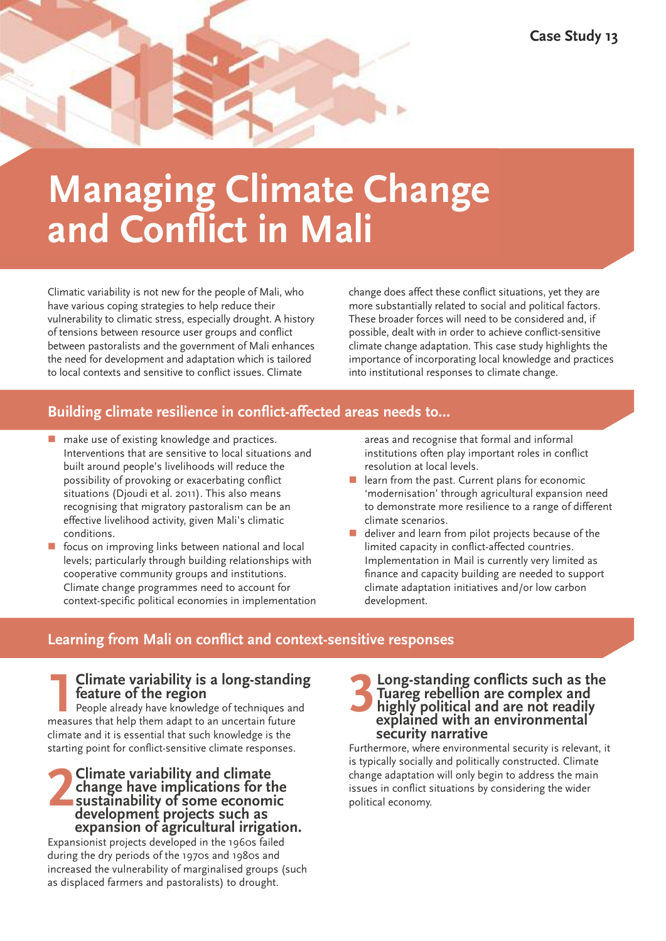# **Managing Climate Change and Conflict in Mali**

Climatic variability is not new for the people of Mali, who have various coping strategies to help reduce their vulnerability to climatic stress, especially drought. A history of tensions between resource user groups and conflict between pastoralists and the government of Mali enhances the need for development and adaptation which is tailored to local contexts and sensitive to conflict issues. Climate

change does affect these conflict situations, yet they are more substantially related to social and political factors. These broader forces will need to be considered and, if possible, dealt with in order to achieve conflict-sensitive climate change adaptation. This case study highlights the importance of incorporating local knowledge and practices into institutional responses to climate change.

# **Building climate resilience in conflict-affected areas needs to…**

- $\blacksquare$  make use of existing knowledge and practices. Interventions that are sensitive to local situations and built around people's livelihoods will reduce the possibility of provoking or exacerbating conflict situations (Djoudi et al. 2011). This also means recognising that migratory pastoralism can be an effective livelihood activity, given Mali's climatic conditions.
- focus on improving links between national and local levels; particularly through building relationships with cooperative community groups and institutions. Climate change programmes need to account for context-specific political economies in implementation

areas and recognise that formal and informal institutions often play important roles in conflict resolution at local levels.

- learn from the past. Current plans for economic 'modernisation' through agricultural expansion need to demonstrate more resilience to a range of different climate scenarios.
- deliver and learn from pilot projects because of the limited capacity in conflict-affected countries. Implementation in Mail is currently very limited as finance and capacity building are needed to support climate adaptation initiatives and/or low carbon development.

# **Learning from Mali on conflict and context-sensitive responses**

# **1Climate variability is <sup>a</sup> long-standing feature of the region**

People already have knowledge of techniques and measures that help them adapt to an uncertain future climate and it is essential that such knowledge is the starting point for conflict-sensitive climate responses.

# **2Climate variability and climate development projects such as change have implications for the sustainability of some economic expansion of agricultural irrigation.**

Expansionist projects developed in the 1960s failed during the dry periods of the 1970s and 1980s and increased the vulnerability of marginalised groups (such as displaced farmers and pastoralists) to drought.

#### **3Long-standing conflicts such as the**<br> **3Long-standing conflicts and highly political and are not readily**<br>
explained with an environmental **Tuareg rebellion are complex and highly political and are not readily explained with an environmental security narrative**

Furthermore, where environmental security is relevant, it is typically socially and politically constructed. Climate change adaptation will only begin to address the main issues in conflict situations by considering the wider political economy.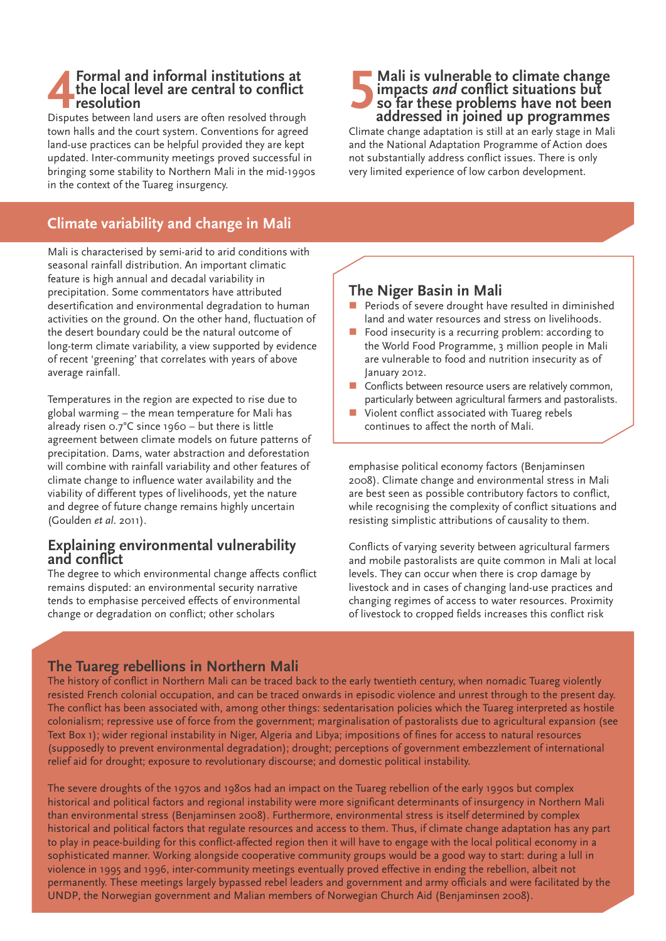#### **4Formal and informal institutions at the local level are central to conflict resolution**

Disputes between land users are often resolved through town halls and the court system. Conventions for agreed land-use practices can be helpful provided they are kept updated. Inter-community meetings proved successful in bringing some stability to Northern Mali in the mid-1990s in the context of the Tuareg insurgency.

# **Climate variability and change in Mali**

Mali is characterised by semi-arid to arid conditions with seasonal rainfall distribution. An important climatic feature is high annual and decadal variability in precipitation. Some commentators have attributed desertification and environmental degradation to human activities on the ground. On the other hand, fluctuation of the desert boundary could be the natural outcome of long-term climate variability, a view supported by evidence of recent 'greening' that correlates with years of above average rainfall.

Temperatures in the region are expected to rise due to global warming – the mean temperature for Mali has already risen 0.7°C since 1960 – but there is little agreement between climate models on future patterns of precipitation. Dams, water abstraction and deforestation will combine with rainfall variability and other features of climate change to influence water availability and the viability of different types of livelihoods, yet the nature and degree of future change remains highly uncertain (Goulden *et al*. 2011).

#### **Explaining environmental vulnerability and conflict**

The degree to which environmental change affects conflict remains disputed: an environmental security narrative tends to emphasise perceived effects of environmental change or degradation on conflict; other scholars

#### **5Mali is vulnerable to climate change impacts** *and* **conflict situations but so far these problems have not been addressed in joined up programmes**

Climate change adaptation is still at an early stage in Mali and the National Adaptation Programme of Action does not substantially address conflict issues. There is only very limited experience of low carbon development.

#### **The Niger Basin in Mali**

- n Periods of severe drought have resulted in diminished land and water resources and stress on livelihoods.
- Food insecurity is a recurring problem: according to the World Food Programme, 3 million people in Mali are vulnerable to food and nutrition insecurity as of January 2012.
- $\blacksquare$  Conflicts between resource users are relatively common, particularly between agricultural farmers and pastoralists.
- Violent conflict associated with Tuareg rebels continues to affect the north of Mali.

emphasise political economy factors (Benjaminsen 2008). Climate change and environmental stress in Mali are best seen as possible contributory factors to conflict, while recognising the complexity of conflict situations and resisting simplistic attributions of causality to them.

Conflicts of varying severity between agricultural farmers and mobile pastoralists are quite common in Mali at local levels. They can occur when there is crop damage by livestock and in cases of changing land-use practices and changing regimes of access to water resources. Proximity of livestock to cropped fields increases this conflict risk

### **The Tuareg rebellions in Northern Mali**

The history of conflict in Northern Mali can be traced back to the early twentieth century, when nomadic Tuareg violently resisted French colonial occupation, and can be traced onwards in episodic violence and unrest through to the present day. The conflict has been associated with, among other things: sedentarisation policies which the Tuareg interpreted as hostile colonialism; repressive use of force from the government; marginalisation of pastoralists due to agricultural expansion (see Text Box 1); wider regional instability in Niger, Algeria and Libya; impositions of fines for access to natural resources (supposedly to prevent environmental degradation); drought; perceptions of government embezzlement of international relief aid for drought; exposure to revolutionary discourse; and domestic political instability.

The severe droughts of the 1970s and 1980s had an impact on the Tuareg rebellion of the early 1990s but complex historical and political factors and regional instability were more significant determinants of insurgency in Northern Mali than environmental stress (Benjaminsen 2008). Furthermore, environmental stress is itself determined by complex historical and political factors that regulate resources and access to them. Thus, if climate change adaptation has any part to play in peace-building for this conflict-affected region then it will have to engage with the local political economy in a sophisticated manner. Working alongside cooperative community groups would be a good way to start: during a lull in violence in 1995 and 1996, inter-community meetings eventually proved effective in ending the rebellion, albeit not permanently. These meetings largely bypassed rebel leaders and government and army officials and were facilitated by the UNDP, the Norwegian government and Malian members of Norwegian Church Aid (Benjaminsen 2008).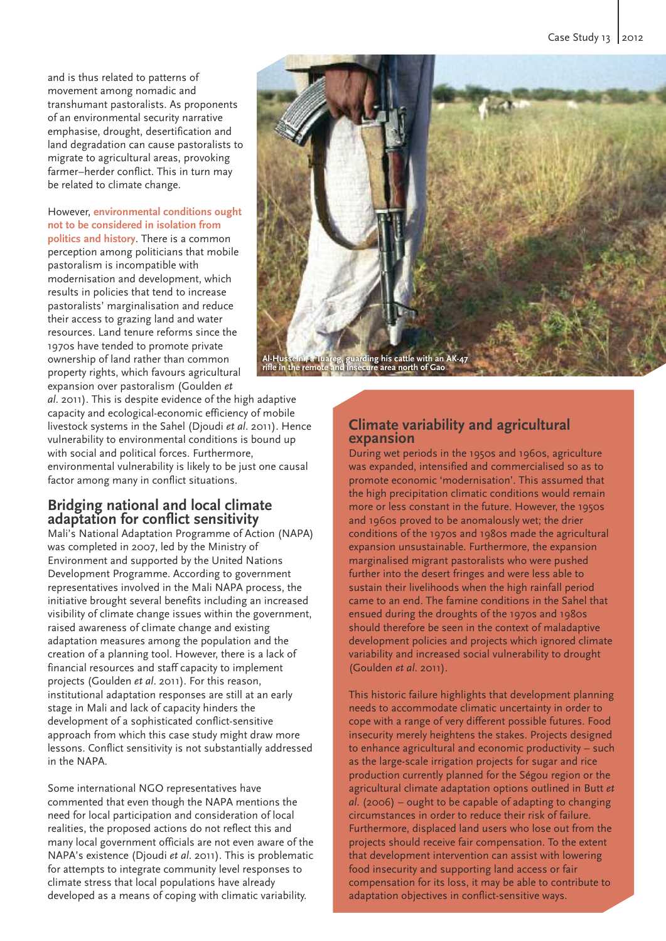and is thus related to patterns of movement among nomadic and transhumant pastoralists. As proponents of an environmental security narrative emphasise, drought, desertification and land degradation can cause pastoralists to migrate to agricultural areas, provoking farmer–herder conflict. This in turn may be related to climate change.

However, **environmental conditions ought not to be considered in isolation from politics and history**. There is a common perception among politicians that mobile pastoralism is incompatible with modernisation and development, which results in policies that tend to increase pastoralists' marginalisation and reduce their access to grazing land and water resources. Land tenure reforms since the 1970s have tended to promote private ownership of land rather than common property rights, which favours agricultural expansion over pastoralism (Goulden *et*

*al*. 2011). This is despite evidence of the high adaptive capacity and ecological-economic efficiency of mobile livestock systems in the Sahel (Djoudi *et al*. 2011). Hence vulnerability to environmental conditions is bound up with social and political forces. Furthermore, environmental vulnerability is likely to be just one causal factor among many in conflict situations.

#### **Bridging national and local climate adaptation for conflict sensitivity**

Mali's National Adaptation Programme of Action (NAPA) was completed in 2007, led by the Ministry of Environment and supported by the United Nations Development Programme. According to government representatives involved in the Mali NAPA process, the initiative brought several benefits including an increased visibility of climate change issues within the government, raised awareness of climate change and existing adaptation measures among the population and the creation of a planning tool. However, there is a lack of financial resources and staff capacity to implement projects (Goulden *et al*. 2011). For this reason, institutional adaptation responses are still at an early stage in Mali and lack of capacity hinders the development of a sophisticated conflict-sensitive approach from which this case study might draw more lessons. Conflict sensitivity is not substantially addressed in the NAPA.

Some international NGO representatives have commented that even though the NAPA mentions the need for local participation and consideration of local realities, the proposed actions do not reflect this and many local government officials are not even aware of the NAPA's existence (Djoudi *et al*. 2011). This is problematic for attempts to integrate community level responses to climate stress that local populations have already developed as a means of coping with climatic variability.



#### **Climate variability and agricultural expansion**

During wet periods in the 1950s and 1960s, agriculture was expanded, intensified and commercialised so as to promote economic 'modernisation'. This assumed that the high precipitation climatic conditions would remain more or less constant in the future. However, the 1950s and 1960s proved to be anomalously wet; the drier conditions of the 1970s and 1980s made the agricultural expansion unsustainable. Furthermore, the expansion marginalised migrant pastoralists who were pushed further into the desert fringes and were less able to sustain their livelihoods when the high rainfall period came to an end. The famine conditions in the Sahel that ensued during the droughts of the 1970s and 1980s should therefore be seen in the context of maladaptive development policies and projects which ignored climate variability and increased social vulnerability to drought (Goulden *et al*. 2011).

This historic failure highlights that development planning needs to accommodate climatic uncertainty in order to cope with a range of very different possible futures. Food insecurity merely heightens the stakes. Projects designed to enhance agricultural and economic productivity – such as the large-scale irrigation projects for sugar and rice production currently planned for the Ségou region or the agricultural climate adaptation options outlined in Butt *et al*. (2006) – ought to be capable of adapting to changing circumstances in order to reduce their risk of failure. Furthermore, displaced land users who lose out from the projects should receive fair compensation. To the extent that development intervention can assist with lowering food insecurity and supporting land access or fair compensation for its loss, it may be able to contribute to adaptation objectives in conflict-sensitive ways.